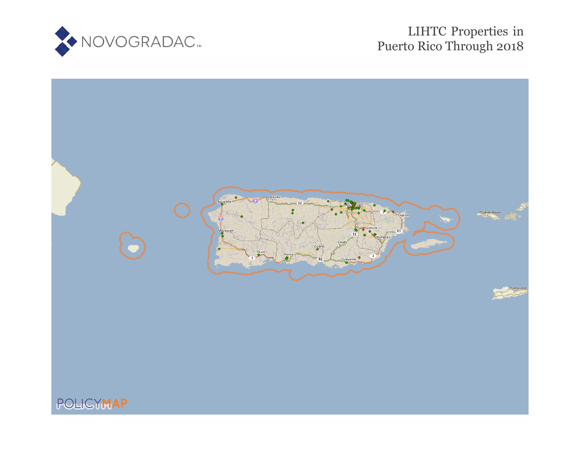

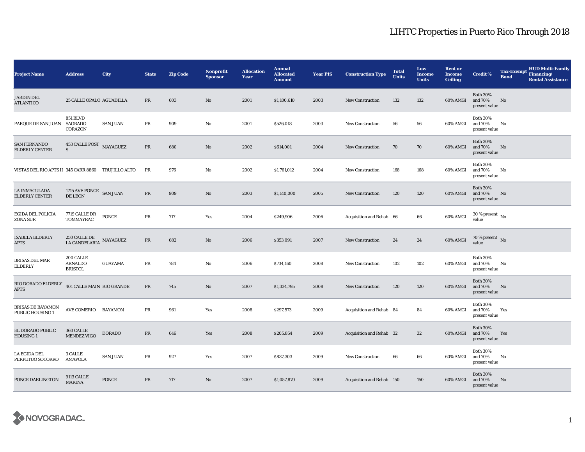| <b>Project Name</b>                                | <b>Address</b>                                | City            | <b>State</b> | <b>Zip Code</b> | <b>Nonprofit</b><br><b>Sponsor</b> | <b>Allocation</b><br>Year | <b>Annual</b><br><b>Allocated</b><br><b>Amount</b> | <b>Year PIS</b> | <b>Construction Type</b>  | <b>Total</b><br><b>Units</b> | Low<br>Income<br><b>Units</b> | <b>Rent or</b><br><b>Income</b><br><b>Ceiling</b> | <b>Credit %</b>                             | <b>Tax-Exempt</b><br><b>Bond</b> | <b>HUD Multi-Family</b><br>Financing/<br><b>Rental Assistance</b> |
|----------------------------------------------------|-----------------------------------------------|-----------------|--------------|-----------------|------------------------------------|---------------------------|----------------------------------------------------|-----------------|---------------------------|------------------------------|-------------------------------|---------------------------------------------------|---------------------------------------------|----------------------------------|-------------------------------------------------------------------|
| <b>JARDIN DEL</b><br><b>ATLANTICO</b>              | 25 CALLE OPALO AGUADILLA                      |                 | PR           | 603             | No                                 | 2001                      | \$1,100,610                                        | 2003            | <b>New Construction</b>   | 132                          | 132                           | 60% AMGI                                          | <b>Both 30%</b><br>and 70%<br>present value | No                               |                                                                   |
| PARQUE DE SAN JUAN                                 | <b>851 BLVD</b><br>SAGRADO<br>CORAZON         | <b>SAN JUAN</b> | PR           | 909             | No                                 | 2001                      | \$526,018                                          | 2003            | <b>New Construction</b>   | 56                           | 56                            | 60% AMGI                                          | <b>Both 30%</b><br>and 70%<br>present value | No                               |                                                                   |
| <b>SAN FERNANDO</b><br><b>ELDERLY CENTER</b>       | 453 CALLE POST MAYAGUEZ<br>$\mathbf S$        |                 | PR           | 680             | No                                 | 2002                      | \$614,001                                          | 2004            | <b>New Construction</b>   | 70                           | 70                            | 60% AMGI                                          | <b>Both 30%</b><br>and 70%<br>present value | No                               |                                                                   |
| VISTAS DEL RIO APTS II 345 CARR 8860 TRUJILLO ALTO |                                               |                 | PR           | 976             | No                                 | 2002                      | \$1,761,012                                        | 2004            | <b>New Construction</b>   | 168                          | 168                           | 60% AMGI                                          | <b>Both 30%</b><br>and 70%<br>present value | No                               |                                                                   |
| LA INMACULADA<br><b>ELDERLY CENTER</b>             | 1715 AVE PONCE SAN JUAN<br>DE LEON            |                 | PR           | 909             | No                                 | 2003                      | \$1,140,000                                        | 2005            | <b>New Construction</b>   | 120                          | 120                           | 60% AMGI                                          | <b>Both 30%</b><br>and 70%<br>present value | No                               |                                                                   |
| EGIDA DEL POLICIA<br>ZONA SUR                      | 7719 CALLE DR<br>TOMMAYRAC                    | <b>PONCE</b>    | PR           | 717             | Yes                                | 2004                      | \$249,906                                          | 2006            | Acquisition and Rehab 66  |                              | 66                            | 60% AMGI                                          | $30$ % present $\,$ No $\,$<br>value        |                                  |                                                                   |
| <b>ISABELA ELDERLY</b><br><b>APTS</b>              | 250 CALLE DE<br>LA CANDELARIA                 | MAYAGUEZ        | PR           | 682             | No                                 | 2006                      | \$353,091                                          | 2007            | <b>New Construction</b>   | 24                           | 24                            | 60% AMGI                                          | 70 % present No<br>value                    |                                  |                                                                   |
| <b>BRISAS DEL MAR</b><br><b>ELDERLY</b>            | 200 CALLE<br><b>ARNALDO</b><br><b>BRISTOL</b> | <b>GUAYAMA</b>  | $\rm PR$     | 784             | No                                 | 2006                      | \$734,160                                          | 2008            | New Construction          | 102                          | 102                           | 60% AMGI                                          | <b>Both 30%</b><br>and 70%<br>present value | No                               |                                                                   |
| RIO DORADO ELDERLY<br><b>APTS</b>                  | 401 CALLE MAIN RIO GRANDE                     |                 | $\rm PR$     | 745             | No                                 | 2007                      | \$1,334,795                                        | 2008            | <b>New Construction</b>   | 120                          | 120                           | 60% AMGI                                          | <b>Both 30%</b><br>and 70%<br>present value | No                               |                                                                   |
| BRISAS DE BAYAMON<br><b>PUBLIC HOUSING 1</b>       | <b>AVE COMERIO</b>                            | BAYAMON         | PR           | 961             | Yes                                | 2008                      | \$297,573                                          | 2009            | Acquisition and Rehab 84  |                              | 84                            | 60% AMGI                                          | <b>Both 30%</b><br>and 70%<br>present value | Yes                              |                                                                   |
| EL DORADO PUBLIC<br>HOUSING 1                      | 360 CALLE<br><b>MENDEZ VIGO</b>               | <b>DORADO</b>   | $\rm PR$     | 646             | Yes                                | 2008                      | \$205,854                                          | 2009            | Acquisition and Rehab 32  |                              | 32                            | 60% AMGI                                          | <b>Both 30%</b><br>and 70%<br>present value | Yes                              |                                                                   |
| LA EGIDA DEL<br>PERPETUO SOCORRO                   | 3 CALLE<br><b>AMAPOLA</b>                     | <b>SAN JUAN</b> | PR           | 927             | Yes                                | 2007                      | \$837,303                                          | 2009            | <b>New Construction</b>   | 66                           | 66                            | 60% AMGI                                          | <b>Both 30%</b><br>and 70%<br>present value | No                               |                                                                   |
| PONCE DARLINGTON                                   | 9113 CALLE<br><b>MARINA</b>                   | <b>PONCE</b>    | $\rm PR$     | 717             | No                                 | 2007                      | \$1,057,870                                        | 2009            | Acquisition and Rehab 150 |                              | 150                           | 60% AMGI                                          | <b>Both 30%</b><br>and 70%<br>present value | No                               |                                                                   |

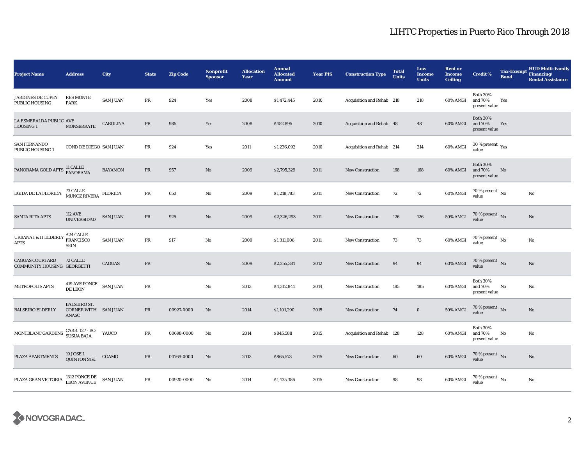| <b>Project Name</b>                                   | <b>Address</b>                                       | City            | <b>State</b>                                   | <b>Zip Code</b> | <b>Nonprofit</b><br><b>Sponsor</b> | <b>Allocation</b><br>Year | <b>Annual</b><br><b>Allocated</b><br><b>Amount</b> | <b>Year PIS</b> | <b>Construction Type</b>  | <b>Total</b><br><b>Units</b> | Low<br><b>Income</b><br><b>Units</b> | <b>Rent or</b><br><b>Income</b><br><b>Ceiling</b> | <b>Credit %</b>                             | <b>Tax-Exempt</b><br><b>Bond</b> | <b>HUD Multi-Family</b><br>Financing/<br><b>Rental Assistance</b> |
|-------------------------------------------------------|------------------------------------------------------|-----------------|------------------------------------------------|-----------------|------------------------------------|---------------------------|----------------------------------------------------|-----------------|---------------------------|------------------------------|--------------------------------------|---------------------------------------------------|---------------------------------------------|----------------------------------|-------------------------------------------------------------------|
| <b>JARDINES DE CUPEY</b><br>PUBLIC HOUSING            | <b>RES MONTE</b><br><b>PARK</b>                      | <b>SAN JUAN</b> | PR                                             | 924             | Yes                                | 2008                      | \$1,472,445                                        | 2010            | Acquisition and Rehab 218 |                              | 218                                  | 60% AMGI                                          | <b>Both 30%</b><br>and 70%<br>present value | Yes                              |                                                                   |
| LA ESMERALDA PUBLIC AVE<br>HOUSING 1                  | <b>MONSERRATE</b>                                    | CAROLINA        | PR                                             | 985             | Yes                                | 2008                      | \$452,895                                          | 2010            | Acquisition and Rehab 48  |                              | 48                                   | 60% AMGI                                          | <b>Both 30%</b><br>and 70%<br>present value | Yes                              |                                                                   |
| <b>SAN FERNANDO</b><br>PUBLIC HOUSING 1               | COND DE DIEGO SAN JUAN                               |                 | $\rm PR$                                       | 924             | Yes                                | 2011                      | \$1,236,092                                        | 2010            | Acquisition and Rehab 214 |                              | 214                                  | 60% AMGI                                          | $30\,\%$ present $\,$ Yes value             |                                  |                                                                   |
| PANORAMA GOLD APTS                                    | 11 CALLE<br>PANORAMA                                 | <b>BAYAMON</b>  | PR                                             | 957             | No                                 | 2009                      | \$2,795,329                                        | 2011            | <b>New Construction</b>   | 168                          | 168                                  | 60% AMGI                                          | <b>Both 30%</b><br>and 70%<br>present value | No                               |                                                                   |
| EGIDA DE LA FLORIDA                                   | 73 CALLE<br>MUNOZ RIVERA                             | FLORIDA         | PR                                             | 650             | No                                 | 2009                      | \$1,218,783                                        | 2011            | New Construction          | 72                           | 72                                   | 60% AMGI                                          | 70 % present $\hbox{~No}$<br>value          |                                  | No                                                                |
| <b>SANTA RITA APTS</b>                                | <b>112 AVE</b><br><b>UNIVERSIDAD</b>                 | <b>SAN JUAN</b> | $\rm PR$                                       | 925             | No                                 | 2009                      | \$2,326,293                                        | 2011            | New Construction          | 126                          | 126                                  | <b>50% AMGI</b>                                   | 70 % present $\hbox{~No}$<br>value          |                                  | $\rm No$                                                          |
| URBANA I & II ELDERLY<br>APTS                         | A24 CALLE<br>FRANCISCO<br><b>SEIN</b>                | <b>SAN JUAN</b> | PR                                             | 917             | No                                 | 2009                      | \$1,311,006                                        | 2011            | <b>New Construction</b>   | 73                           | 73                                   | 60% AMGI                                          | $70\,\%$ present $\,$ No value              |                                  | No                                                                |
| <b>CAGUAS COURTARD</b><br>COMMUNITY HOUSING GEORGETTI | 72 CALLE                                             | CAGUAS          | $\ensuremath{\mathop{\text{\rm PR}}\nolimits}$ |                 | No                                 | 2009                      | \$2,255,381                                        | 2012            | <b>New Construction</b>   | 94                           | 94                                   | 60% AMGI                                          | 70 % present $\bar{N}$ o<br>value           |                                  | No                                                                |
| METROPOLIS APTS                                       | 419 AVE PONCE SAN JUAN<br>DE LEON                    |                 | $\rm PR$                                       |                 | No                                 | 2013                      | \$4,312,841                                        | 2014            | <b>New Construction</b>   | 185                          | 185                                  | 60% AMGI                                          | <b>Both 30%</b><br>and 70%<br>present value | No                               | No                                                                |
| <b>BALSEIRO ELDERLY</b>                               | <b>BALSEIRO ST.</b><br>CORNER WITH SAN JUAN<br>ANASC |                 | PR                                             | 00927-0000      | No                                 | 2014                      | \$1,101,290                                        | 2015            | New Construction          | 74                           | $\bf{0}$                             | 50% AMGI                                          | 70 % present $\hbox{~No}$<br>value          |                                  | $\rm No$                                                          |
| MONTBLANC GARDENS                                     | CARR. 127 - BO.<br>SUSUA BAJA                        | YAUCO           | PR                                             | 00698-0000      | No                                 | 2014                      | \$845,588                                          | 2015            | Acquisition and Rehab 128 |                              | 128                                  | 60% AMGI                                          | <b>Both 30%</b><br>and 70%<br>present value | No                               | No                                                                |
| PLAZA APARTMENTS                                      | 19 JOSE I.<br><b>QUINTON ST&amp;</b>                 | COAMO           | PR                                             | 00769-0000      | No                                 | 2013                      | \$865,573                                          | 2015            | <b>New Construction</b>   | 60                           | 60                                   | 60% AMGI                                          | $70\,\%$ present $\,$ No value              |                                  | No                                                                |
| PLAZA GRAN VICTORIA                                   | 1312 PONCE DE<br>LEON AVENUE                         | <b>SAN JUAN</b> | PR                                             | 00920-0000      | No                                 | 2014                      | \$1,435,386                                        | 2015            | <b>New Construction</b>   | 98                           | 98                                   | 60% AMGI                                          | $70$ % present $\,$ No $\,$<br>value        |                                  | $\rm No$                                                          |

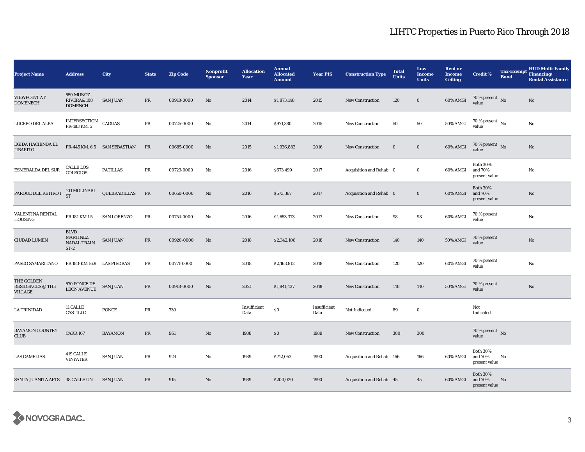| <b>Project Name</b>                                     | <b>Address</b>                                                    | City                         | <b>State</b> | <b>Zip Code</b> | Nonprofit<br><b>Sponsor</b> | <b>Allocation</b><br>Year | <b>Annual</b><br><b>Allocated</b><br><b>Amount</b> | <b>Year PIS</b>      | <b>Construction Type</b>  | <b>Total</b><br><b>Units</b> | Low<br><b>Income</b><br><b>Units</b> | <b>Rent or</b><br><b>Income</b><br><b>Ceiling</b> | <b>Credit %</b>                             | <b>Tax-Exempt</b><br><b>Bond</b> | <b>HUD Multi-Family</b><br>Financing/<br><b>Rental Assistance</b> |
|---------------------------------------------------------|-------------------------------------------------------------------|------------------------------|--------------|-----------------|-----------------------------|---------------------------|----------------------------------------------------|----------------------|---------------------------|------------------------------|--------------------------------------|---------------------------------------------------|---------------------------------------------|----------------------------------|-------------------------------------------------------------------|
| <b>VIEWPOINT AT</b><br><b>DOMENECH</b>                  | 550 MUNOZ<br><b>RIVERA&amp; 108</b><br><b>DOMENCH</b>             | <b>SAN JUAN</b>              | PR           | 00918-0000      | No                          | 2014                      | \$1,873,148                                        | 2015                 | <b>New Construction</b>   | 120                          | $\bf{0}$                             | 60% AMGI                                          | 70 % present $\,$ No $\,$<br>value          |                                  | No                                                                |
| LUCERO DEL ALBA                                         | INTERSECTION<br>PR-183 KM. 5                                      | <b>CAGUAS</b>                | PR           | 00725-0000      | No                          | 2014                      | \$971,380                                          | 2015                 | <b>New Construction</b>   | 50                           | 50                                   | 50% AMGI                                          | 70 % present $\,$ No $\,$<br>value          |                                  | No                                                                |
| EGIDA HACIENDA EL<br>JIBARITO                           |                                                                   | PR-445 KM. 6.5 SAN SEBASTIAN | PR           | 00685-0000      | No                          | 2015                      | \$1,936,883                                        | 2016                 | <b>New Construction</b>   | $\mathbf 0$                  | $\mathbf 0$                          | 60% AMGI                                          | 70 % present $\hbox{~No}$<br>value          |                                  | No                                                                |
| <b>ESMERALDA DEL SUR</b>                                | <b>CALLE LOS</b><br><b>COLEGIOS</b>                               | <b>PATILLAS</b>              | $\rm PR$     | 00723-0000      | No                          | 2016                      | \$673,499                                          | 2017                 | Acquisition and Rehab 0   |                              | $\bf{0}$                             | 60% AMGI                                          | <b>Both 30%</b><br>and 70%<br>present value |                                  | No                                                                |
| PARQUE DEL RETIRO I                                     | 101 MOLINARI<br><b>ST</b>                                         | QUEBRADILLAS                 | PR           | 00650-0000      | No                          | 2016                      | \$573,367                                          | 2017                 | Acquisition and Rehab 0   |                              | $\bf{0}$                             | 60% AMGI                                          | <b>Both 30%</b><br>and 70%<br>present value |                                  | No                                                                |
| VALENTINA RENTAL<br>HOUSING                             | PR 181 KM 15                                                      | <b>SAN LORENZO</b>           | $\rm PR$     | 00754-0000      | No                          | 2016                      | \$1,653,373                                        | 2017                 | <b>New Construction</b>   | 98                           | 98                                   | 60% AMGI                                          | 70 % present<br>value                       |                                  | No                                                                |
| <b>CIUDAD LUMEN</b>                                     | $\operatorname{BLVD}$<br><b>MARTINEZ</b><br>NADAL TRAIN<br>$ST-2$ | SAN JUAN                     | $\rm PR$     | 00920-0000      | No                          | 2018                      | \$2,342,106                                        | 2018                 | <b>New Construction</b>   | 140                          | 140                                  | 50% AMGI                                          | 70 % present<br>value                       |                                  | No                                                                |
| PASEO SAMARITANO                                        | PR 183-KM 16.9 LAS PIEDRAS                                        |                              | PR           | 00771-0000      | No                          | 2018                      | \$2,163,812                                        | 2018                 | <b>New Construction</b>   | 120                          | 120                                  | 60% AMGI                                          | 70 % present<br>value                       |                                  | No                                                                |
| THE GOLDEN<br><b>RESIDENCES @ THE</b><br><b>VILLAGE</b> | 570 PONCE DE<br>LEON AVENUE                                       | <b>SAN JUAN</b>              | $\rm PR$     | 00918-0000      | No                          | 2021                      | \$1,841,437                                        | 2018                 | <b>New Construction</b>   | 140                          | 140                                  | 50% AMGI                                          | 70 % present<br>value                       |                                  | No                                                                |
| <b>LA TRINIDAD</b>                                      | <b>11 CALLE</b><br>CASTILLO                                       | <b>PONCE</b>                 | PR           | 730             |                             | Insufficient<br>Data      | \$0                                                | Insufficient<br>Data | Not Indicated             | 89                           | $\bf{0}$                             |                                                   | Not<br>Indicated                            |                                  |                                                                   |
| <b>BAYAMON COUNTRY</b><br><b>CLUB</b>                   | <b>CARR 167</b>                                                   | <b>BAYAMON</b>               | $\rm PR$     | 961             | No                          | 1988                      | \$0\$                                              | 1989                 | <b>New Construction</b>   | 300                          | 300                                  |                                                   | 70 % present $\,$ No $\,$<br>value          |                                  |                                                                   |
| <b>LAS CAMELIAS</b>                                     | 419 CALLE<br><b>VINYATER</b>                                      | <b>SAN JUAN</b>              | PR           | 924             | No                          | 1989                      | \$712,053                                          | 1990                 | Acquisition and Rehab 166 |                              | 166                                  | 60% AMGI                                          | <b>Both 30%</b><br>and 70%<br>present value | No                               |                                                                   |
| SANTA JUANITA APTS 38 CALLE UN                          |                                                                   | <b>SAN JUAN</b>              | PR           | 915             | No                          | 1989                      | \$200,020                                          | 1990                 | Acquisition and Rehab 45  |                              | 45                                   | 60% AMGI                                          | <b>Both 30%</b><br>and 70%<br>present value | No                               |                                                                   |

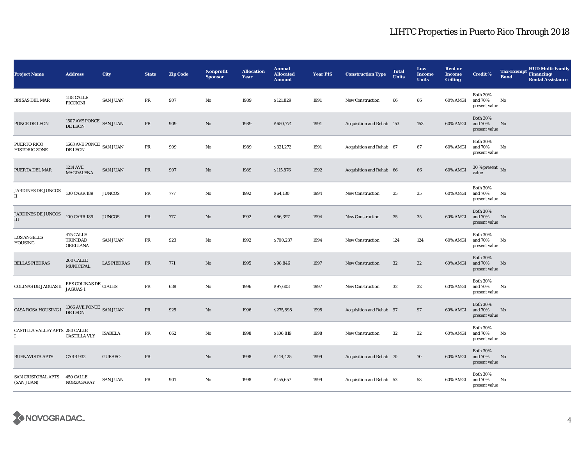| <b>Project Name</b>                        | <b>Address</b>                                      | <b>City</b>        | <b>State</b>                                   | <b>Zip Code</b> | <b>Nonprofit</b><br><b>Sponsor</b> | <b>Allocation</b><br>Year | <b>Annual</b><br><b>Allocated</b><br><b>Amount</b> | <b>Year PIS</b> | <b>Construction Type</b>         | <b>Total</b><br><b>Units</b> | Low<br><b>Income</b><br><b>Units</b> | <b>Rent or</b><br><b>Income</b><br><b>Ceiling</b> | <b>Credit %</b>                             | <b>Tax-Exempt</b><br><b>Bond</b> | <b>HUD Multi-Family</b><br>Financing/<br><b>Rental Assistance</b> |
|--------------------------------------------|-----------------------------------------------------|--------------------|------------------------------------------------|-----------------|------------------------------------|---------------------------|----------------------------------------------------|-----------------|----------------------------------|------------------------------|--------------------------------------|---------------------------------------------------|---------------------------------------------|----------------------------------|-------------------------------------------------------------------|
| <b>BRISAS DEL MAR</b>                      | 1118 CALLE<br>PICCIONI                              | <b>SAN JUAN</b>    | PR                                             | 907             | No                                 | 1989                      | \$121,829                                          | 1991            | <b>New Construction</b>          | 66                           | 66                                   | 60% AMGI                                          | <b>Both 30%</b><br>and 70%<br>present value | No                               |                                                                   |
| PONCE DE LEON                              | 1507 AVE PONCE SAN JUAN<br>DE LEON                  |                    | PR                                             | 909             | No                                 | 1989                      | \$650,774                                          | 1991            | <b>Acquisition and Rehab 153</b> |                              | 153                                  | 60% AMGI                                          | <b>Both 30%</b><br>and 70%<br>present value | No                               |                                                                   |
| PUERTO RICO<br><b>HISTORIC ZONE</b>        | 1663 AVE PONCE $\,$ SAN JUAN $\,$<br><b>DE LEON</b> |                    | PR                                             | 909             | No                                 | 1989                      | \$321,272                                          | 1991            | Acquisition and Rehab 67         |                              | 67                                   | 60% AMGI                                          | <b>Both 30%</b><br>and 70%<br>present value | No                               |                                                                   |
| PUERTA DEL MAR                             | 1214 AVE<br><b>MAGDALENA</b>                        | <b>SAN JUAN</b>    | $\ensuremath{\mathop{\text{\rm PR}}\nolimits}$ | 907             | No                                 | 1989                      | \$115,876                                          | 1992            | Acquisition and Rehab 66         |                              | 66                                   | 60% AMGI                                          | $30$ % present $\hbox{~No}$<br>value        |                                  |                                                                   |
| JARDINES DE JUNCOS<br>$\scriptstyle\rm II$ | 100 CARR 189                                        | <b>JUNCOS</b>      | PR                                             | 777             | No                                 | 1992                      | \$64,180                                           | 1994            | <b>New Construction</b>          | 35                           | 35                                   | 60% AMGI                                          | <b>Both 30%</b><br>and 70%<br>present value | No                               |                                                                   |
| JARDINES DE JUNCOS<br>III                  | 100 CARR 189                                        | <b>JUNCOS</b>      | PR                                             | 777             | No                                 | 1992                      | \$66,397                                           | 1994            | New Construction                 | 35                           | 35                                   | 60% AMGI                                          | <b>Both 30%</b><br>and 70%<br>present value | No                               |                                                                   |
| <b>LOS ANGELES</b><br>HOUSING              | 475 CALLE<br>TRINIDAD<br>ORELLANA                   | <b>SAN JUAN</b>    | PR                                             | 923             | No                                 | 1992                      | \$700,237                                          | 1994            | New Construction                 | 124                          | 124                                  | 60% AMGI                                          | <b>Both 30%</b><br>and 70%<br>present value | No                               |                                                                   |
| <b>BELLAS PIEDRAS</b>                      | 200 CALLE<br><b>MUNICIPAL</b>                       | <b>LAS PIEDRAS</b> | $\ensuremath{\mathop{\text{\rm PR}}\nolimits}$ | 771             | No                                 | 1995                      | \$98,846                                           | 1997            | <b>New Construction</b>          | 32                           | $32\,$                               | 60% AMGI                                          | <b>Both 30%</b><br>and 70%<br>present value | No                               |                                                                   |
| COLINAS DE JAGUAS II                       | RES COLINAS DE CIALES<br>JAGUAS 1                   |                    | PR                                             | 638             | No                                 | 1996                      | \$97,603                                           | 1997            | <b>New Construction</b>          | 32                           | 32                                   | 60% AMGI                                          | <b>Both 30%</b><br>and 70%<br>present value | No                               |                                                                   |
| CASA ROSA HOUSING I                        | $1066$ AVE PONCE $\,$ SAN JUAN DE LEON $\,$         |                    | PR                                             | 925             | No                                 | 1996                      | \$275,898                                          | 1998            | Acquisition and Rehab 97         |                              | 97                                   | 60% AMGI                                          | <b>Both 30%</b><br>and 70%<br>present value | No                               |                                                                   |
| CASTILLA VALLEY APTS 280 CALLE             | <b>CASTILLA VLY</b>                                 | <b>ISABELA</b>     | $\rm PR$                                       | 662             | No                                 | 1998                      | \$106,819                                          | 1998            | <b>New Construction</b>          | 32                           | $32\,$                               | 60% AMGI                                          | <b>Both 30%</b><br>and 70%<br>present value | No                               |                                                                   |
| <b>BUENAVISTA APTS</b>                     | <b>CARR 932</b>                                     | <b>GURABO</b>      | PR                                             |                 | No                                 | 1998                      | \$144,425                                          | 1999            | Acquisition and Rehab 70         |                              | 70                                   | 60% AMGI                                          | <b>Both 30%</b><br>and 70%<br>present value | No                               |                                                                   |
| <b>SAN CRISTOBAL APTS</b><br>(SAN JUAN)    | 450 CALLE<br>NORZAGARAY                             | <b>SAN JUAN</b>    | $\rm PR$                                       | 901             | No                                 | 1998                      | \$155,657                                          | 1999            | Acquisition and Rehab 53         |                              | 53                                   | 60% AMGI                                          | <b>Both 30%</b><br>and 70%<br>present value | No                               |                                                                   |

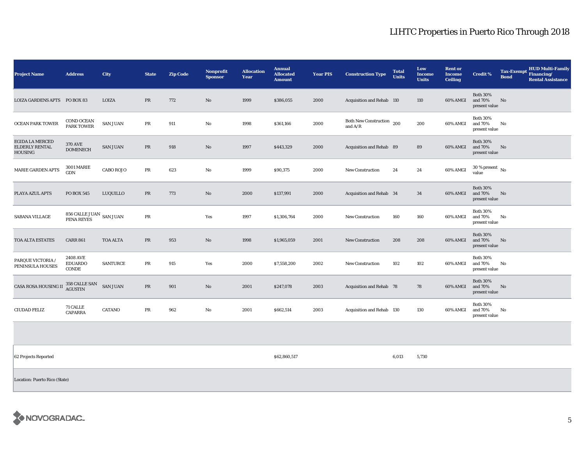| <b>Project Name</b>                                 | <b>Address</b>                             | <b>City</b>      | <b>State</b> | <b>Zip Code</b> | Nonprofit<br><b>Sponsor</b> | <b>Allocation</b><br>Year | <b>Annual</b><br><b>Allocated</b><br><b>Amount</b> | <b>Year PIS</b> | <b>Construction Type</b>                                                                         | <b>Total</b><br><b>Units</b> | Low<br><b>Income</b><br><b>Units</b> | <b>Rent or</b><br><b>Income</b><br><b>Ceiling</b> | <b>Credit %</b>                             | <b>Bond</b> | <b>HUD Multi-Family</b><br>Tax-Exempt Financing/<br><b>Rental Assistance</b> |
|-----------------------------------------------------|--------------------------------------------|------------------|--------------|-----------------|-----------------------------|---------------------------|----------------------------------------------------|-----------------|--------------------------------------------------------------------------------------------------|------------------------------|--------------------------------------|---------------------------------------------------|---------------------------------------------|-------------|------------------------------------------------------------------------------|
| LOIZA GARDENS APTS PO BOX 83                        |                                            | LOIZA            | PR           | 772             | No                          | 1999                      | \$386,055                                          | 2000            | Acquisition and Rehab 110                                                                        |                              | 110                                  | 60% AMGI                                          | <b>Both 30%</b><br>and 70%<br>present value | No          |                                                                              |
| <b>OCEAN PARK TOWER</b>                             | <b>COND OCEAN</b><br><b>PARK TOWER</b>     | <b>SAN JUAN</b>  | PR           | 911             | No                          | 1998                      | \$361,166                                          | 2000            | Both New Construction 200<br>and $\ensuremath{\mathrm{A}}\xspace/\ensuremath{\mathrm{R}}\xspace$ |                              | 200                                  | 60% AMGI                                          | <b>Both 30%</b><br>and 70%<br>present value | No          |                                                                              |
| <b>EGIDA LA MERCED</b><br>ELDERLY RENTAL<br>HOUSING | <b>370 AVE</b><br><b>DOMENECH</b>          | <b>SAN JUAN</b>  | PR           | 918             | No                          | 1997                      | \$443,329                                          | 2000            | Acquisition and Rehab 89                                                                         |                              | 89                                   | 60% AMGI                                          | <b>Both 30%</b><br>and 70%<br>present value | No          |                                                                              |
| <b>MARIE GARDEN APTS</b>                            | <b>3001 MARIE</b><br>GDN                   | <b>CABO ROJO</b> | PR           | 623             | No                          | 1999                      | \$90,375                                           | 2000            | <b>New Construction</b>                                                                          | 24                           | 24                                   | 60% AMGI                                          | $30$ % present $\,$ No $\,$<br>value        |             |                                                                              |
| PLAYA AZUL APTS                                     | <b>PO BOX 545</b>                          | LUQUILLO         | PR           | 773             | No                          | 2000                      | \$137,991                                          | 2000            | Acquisition and Rehab 34                                                                         |                              | 34                                   | 60% AMGI                                          | <b>Both 30%</b><br>and 70%<br>present value | No          |                                                                              |
| <b>SABANA VILLAGE</b>                               | $856$ CALLE JUAN $\,$ SAN JUAN PENA REYES  |                  | PR           |                 | Yes                         | 1997                      | \$1,306,764                                        | 2000            | <b>New Construction</b>                                                                          | 160                          | 160                                  | 60% AMGI                                          | <b>Both 30%</b><br>and 70%<br>present value | No          |                                                                              |
| TOA ALTA ESTATES                                    | <b>CARR 861</b>                            | <b>TOA ALTA</b>  | PR           | 953             | No                          | 1998                      | \$1,965,059                                        | 2001            | <b>New Construction</b>                                                                          | 208                          | 208                                  | 60% AMGI                                          | <b>Both 30%</b><br>and 70%<br>present value | No          |                                                                              |
| PARQUE VICTORIA /<br>PENINSULA HOUSES               | <b>2408 AVE</b><br><b>EDUARDO</b><br>CONDE | <b>SANTURCE</b>  | PR           | 915             | Yes                         | 2000                      | \$7,558,200                                        | 2002            | <b>New Construction</b>                                                                          | 102                          | 102                                  | 60% AMGI                                          | <b>Both 30%</b><br>and 70%<br>present value | No          |                                                                              |
| <b>CASA ROSA HOUSING II</b>                         | 358 CALLE SAN<br>AGUSTIN                   | <b>SAN JUAN</b>  | PR           | 901             | No                          | 2001                      | \$247,078                                          | 2003            | Acquisition and Rehab 78                                                                         |                              | 78                                   | 60% AMGI                                          | <b>Both 30%</b><br>and 70%<br>present value | No          |                                                                              |
| <b>CIUDAD FELIZ</b>                                 | 71 CALLE<br><b>CAPARRA</b>                 | <b>CATANO</b>    | PR           | 962             | No                          | 2001                      | \$662,514                                          | 2003            | Acquisition and Rehab 130                                                                        |                              | 130                                  | 60% AMGI                                          | <b>Both 30%</b><br>and 70%<br>present value | No          |                                                                              |

62 Projects Reported \$62,860,517 6,013 5,730

Location: Puerto Rico (State)